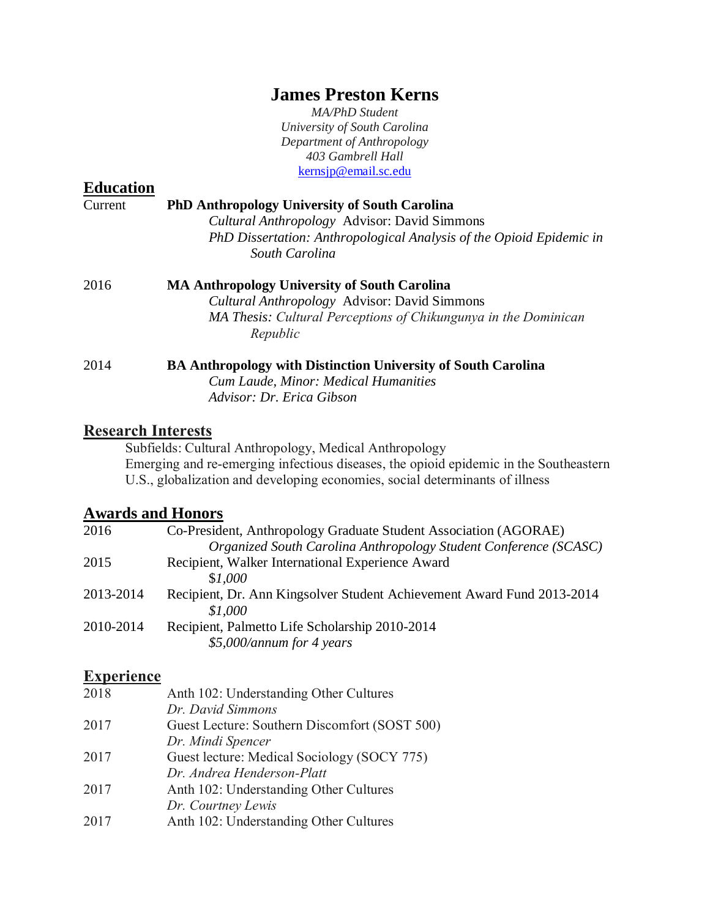## **James Preston Kerns**

*MA/PhD Student University of South Carolina Department of Anthropology 403 Gambrell Hall* [kernsjp@email.sc.edu](mailto:kernsjp@email.sc.edu)

| <b>Education</b> |                                                                                                                                                                                                |
|------------------|------------------------------------------------------------------------------------------------------------------------------------------------------------------------------------------------|
| Current          | <b>PhD Anthropology University of South Carolina</b><br>Cultural Anthropology Advisor: David Simmons<br>PhD Dissertation: Anthropological Analysis of the Opioid Epidemic in<br>South Carolina |
| 2016             | <b>MA Anthropology University of South Carolina</b><br>Cultural Anthropology Advisor: David Simmons<br>MA Thesis: Cultural Perceptions of Chikungunya in the Dominican<br>Republic             |
| 2014             | <b>BA Anthropology with Distinction University of South Carolina</b><br>Cum Laude, Minor: Medical Humanities<br>Advisor: Dr. Erica Gibson                                                      |

#### **Research Interests**

Subfields: Cultural Anthropology, Medical Anthropology Emerging and re-emerging infectious diseases, the opioid epidemic in the Southeastern U.S., globalization and developing economies, social determinants of illness

### **Awards and Honors**

| 2016      | Co-President, Anthropology Graduate Student Association (AGORAE)       |
|-----------|------------------------------------------------------------------------|
|           | Organized South Carolina Anthropology Student Conference (SCASC)       |
| 2015      | Recipient, Walker International Experience Award                       |
|           | \$1,000                                                                |
| 2013-2014 | Recipient, Dr. Ann Kingsolver Student Achievement Award Fund 2013-2014 |
|           | \$1,000                                                                |
| 2010-2014 | Recipient, Palmetto Life Scholarship 2010-2014                         |
|           | $$5,000/annum$ for 4 years                                             |
|           |                                                                        |

#### **Experience**

| 2018 | Anth 102: Understanding Other Cultures        |
|------|-----------------------------------------------|
|      | Dr. David Simmons                             |
| 2017 | Guest Lecture: Southern Discomfort (SOST 500) |
|      | Dr. Mindi Spencer                             |
| 2017 | Guest lecture: Medical Sociology (SOCY 775)   |
|      | Dr. Andrea Henderson-Platt                    |
| 2017 | Anth 102: Understanding Other Cultures        |
|      | Dr. Courtney Lewis                            |
| 2017 | Anth 102: Understanding Other Cultures        |